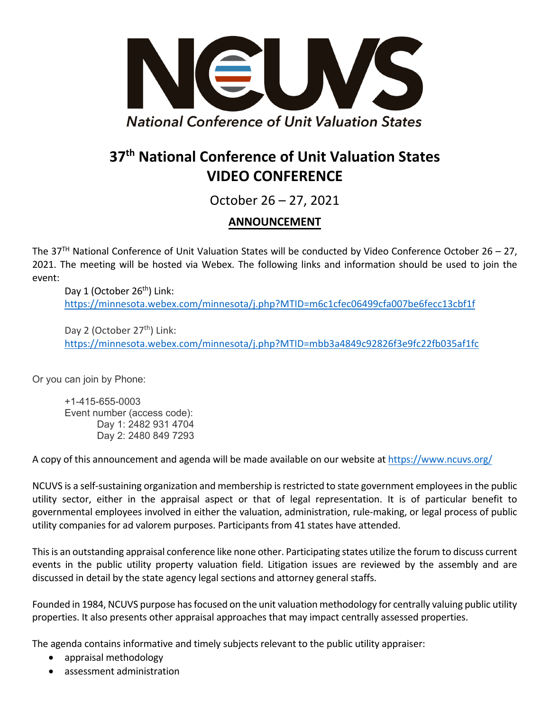

## **37th National Conference of Unit Valuation States VIDEO CONFERENCE**

October 26 – 27, 2021

## **ANNOUNCEMENT**

The 37<sup>TH</sup> National Conference of Unit Valuation States will be conducted by Video Conference October 26 - 27, 2021. The meeting will be hosted via Webex. The following links and information should be used to join the event:

Day 1 (October 26<sup>th</sup>) Link: https://minnesota.webex.com/minnesota/j.php?MTID=m6c1cfec06499cfa007be6fecc13cbf1f

Day 2 (October 27<sup>th</sup>) Link: https://minnesota.webex.com/minnesota/j.php?MTID=mbb3a4849c92826f3e9fc22fb035af1fc

Or you can join by Phone:

+1-415-655-0003 Event number (access code): Day 1: 2482 931 4704 Day 2: 2480 849 7293

A copy of this announcement and agenda will be made available on our website at https://www.ncuvs.org/

NCUVS is a self‐sustaining organization and membership isrestricted to state government employeesin the public utility sector, either in the appraisal aspect or that of legal representation. It is of particular benefit to governmental employees involved in either the valuation, administration, rule‐making, or legal process of public utility companies for ad valorem purposes. Participants from 41 states have attended.

Thisis an outstanding appraisal conference like none other. Participating states utilize the forum to discuss current events in the public utility property valuation field. Litigation issues are reviewed by the assembly and are discussed in detail by the state agency legal sections and attorney general staffs.

Founded in 1984, NCUVS purpose has focused on the unit valuation methodology for centrally valuing public utility properties. It also presents other appraisal approaches that may impact centrally assessed properties.

The agenda contains informative and timely subjects relevant to the public utility appraiser:

- appraisal methodology
- assessment administration